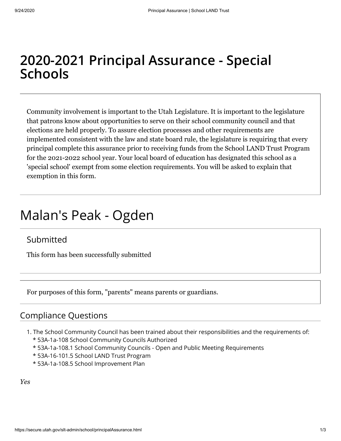# **2020-2021 Principal Assurance - Special Schools**

Community involvement is important to the Utah Legislature. It is important to the legislature that patrons know about opportunities to serve on their school community council and that elections are held properly. To assure election processes and other requirements are implemented consistent with the law and state board rule, the legislature is requiring that every principal complete this assurance prior to receiving funds from the School LAND Trust Program for the 2021-2022 school year. Your local board of education has designated this school as a 'special school' exempt from some election requirements. You will be asked to explain that exemption in this form.

# Malan's Peak - Ogden

# Submitted

This form has been successfully submitted

For purposes of this form, "parents" means parents or guardians.

## Compliance Questions

- 1. The School Community Council has been trained about their responsibilities and the requirements of:
	- \* 53A-1a-108 School Community Councils Authorized
	- \* 53A-1a-108.1 School Community Councils Open and Public Meeting Requirements
	- \* 53A-16-101.5 School LAND Trust Program
	- \* 53A-1a-108.5 School Improvement Plan

*Yes*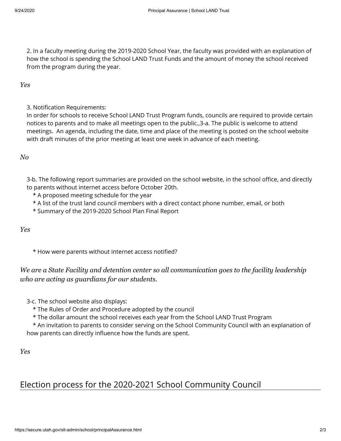2. In a faculty meeting during the 2019-2020 School Year, the faculty was provided with an explanation of how the school is spending the School LAND Trust Funds and the amount of money the school received from the program during the year.

*Yes*

3. Notification Requirements:

In order for schools to receive School LAND Trust Program funds, councils are required to provide certain notices to parents and to make all meetings open to the public.,3-a. The public is welcome to attend meetings. An agenda, including the date, time and place of the meeting is posted on the school website with draft minutes of the prior meeting at least one week in advance of each meeting.

### *No*

3-b. The following report summaries are provided on the school website, in the school office, and directly to parents without internet access before October 20th.

- \* A proposed meeting schedule for the year
- \* A list of the trust land council members with a direct contact phone number, email, or both
- \* Summary of the 2019-2020 School Plan Final Report

#### *Yes*

\* How were parents without internet access notified?

*We are a State Facility and detention center so all communication goes to the facility leadership who are acting as guardians for our students.*

3-c. The school website also displays:

\* The Rules of Order and Procedure adopted by the council

\* The dollar amount the school receives each year from the School LAND Trust Program

 \* An invitation to parents to consider serving on the School Community Council with an explanation of how parents can directly influence how the funds are spent.

```
Yes
```
# Election process for the 2020-2021 School Community Council